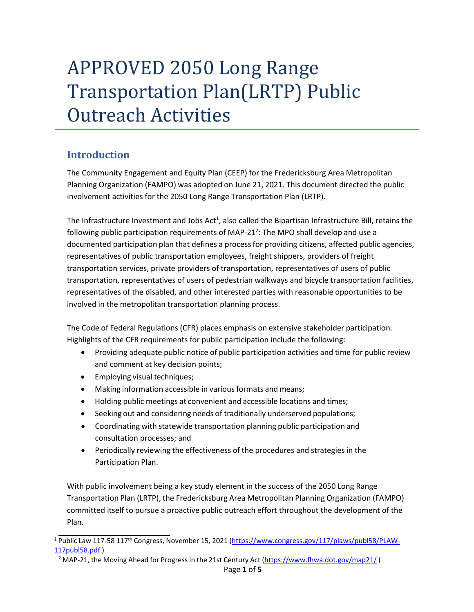# APPROVED 2050 Long Range Transportation Plan(LRTP) Public Outreach Activities

### **Introduction**

The Community Engagement and Equity Plan (CEEP) for the Fredericksburg Area Metropolitan Planning Organization (FAMPO) was adopted on June 21, 2021. This document directed the public involvement activities for the 2050 Long Range Transportation Plan (LRTP).

The Infrastructure Investment and Jobs Act<sup>1</sup>, also called the Bipartisan Infrastructure Bill, retains the following public participation requirements of MAP-21<sup>2</sup>: The MPO shall develop and use a documented participation plan that defines a processfor providing citizens, affected public agencies, representatives of public transportation employees, freight shippers, providers of freight transportation services, private providers of transportation, representatives of users of public transportation, representatives of users of pedestrian walkways and bicycle transportation facilities, representatives of the disabled, and other interested parties with reasonable opportunities to be involved in the metropolitan transportation planning process.

The Code of Federal Regulations (CFR) places emphasis on extensive stakeholder participation. Highlights of the CFR requirements for public participation include the following:

- Providing adequate public notice of public participation activities and time for public review and comment at key decision points;
- Employing visual techniques;
- Making information accessible in various formats and means;
- Holding public meetings at convenient and accessible locations and times;
- Seeking out and considering needs of traditionally underserved populations;
- Coordinating with statewide transportation planning public participation and consultation processes; and
- Periodically reviewing the effectiveness of the procedures and strategies in the Participation Plan.

With public involvement being a key study element in the success of the 2050 Long Range Transportation Plan (LRTP), the Fredericksburg Area Metropolitan Planning Organization (FAMPO) committed itself to pursue a proactive public outreach effort throughout the development of the Plan.

<sup>1</sup> Public Law 117-58 117th Congress, November 15, 2021 [\(https://www.congress.gov/117/plaws/publ58/PLAW-](https://www.congress.gov/117/plaws/publ58/PLAW-117publ58.pdf)[117publ58.pdf](https://www.congress.gov/117/plaws/publ58/PLAW-117publ58.pdf) )

<sup>&</sup>lt;sup>2</sup> MAP-21, the Moving Ahead for Progress in the 21st Century Act [\(https://www.fhwa.dot.gov/map21/](https://www.fhwa.dot.gov/map21/))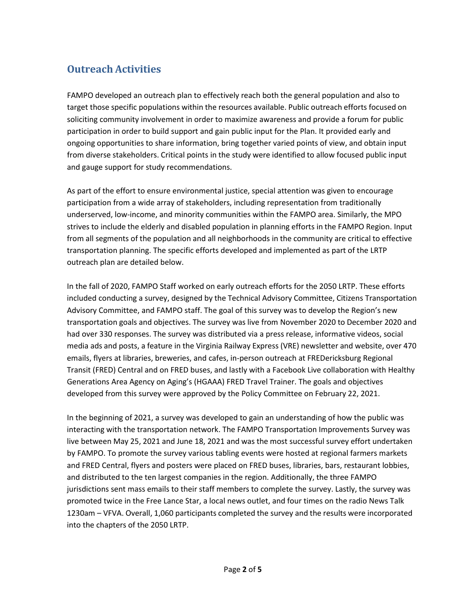# **Outreach Activities**

FAMPO developed an outreach plan to effectively reach both the general population and also to target those specific populations within the resources available. Public outreach efforts focused on soliciting community involvement in order to maximize awareness and provide a forum for public participation in order to build support and gain public input for the Plan. It provided early and ongoing opportunities to share information, bring together varied points of view, and obtain input from diverse stakeholders. Critical points in the study were identified to allow focused public input and gauge support for study recommendations.

As part of the effort to ensure environmental justice, special attention was given to encourage participation from a wide array of stakeholders, including representation from traditionally underserved, low-income, and minority communities within the FAMPO area. Similarly, the MPO strives to include the elderly and disabled population in planning efforts in the FAMPO Region. Input from all segments of the population and all neighborhoods in the community are critical to effective transportation planning. The specific efforts developed and implemented as part of the LRTP outreach plan are detailed below.

In the fall of 2020, FAMPO Staff worked on early outreach efforts for the 2050 LRTP. These efforts included conducting a survey, designed by the Technical Advisory Committee, Citizens Transportation Advisory Committee, and FAMPO staff. The goal of this survey was to develop the Region's new transportation goals and objectives. The survey was live from November 2020 to December 2020 and had over 330 responses. The survey was distributed via a press release, informative videos, social media ads and posts, a feature in the Virginia Railway Express (VRE) newsletter and website, over 470 emails, flyers at libraries, breweries, and cafes, in-person outreach at FREDericksburg Regional Transit (FRED) Central and on FRED buses, and lastly with a Facebook Live collaboration with Healthy Generations Area Agency on Aging's (HGAAA) FRED Travel Trainer. The goals and objectives developed from this survey were approved by the Policy Committee on February 22, 2021.

In the beginning of 2021, a survey was developed to gain an understanding of how the public was interacting with the transportation network. The FAMPO Transportation Improvements Survey was live between May 25, 2021 and June 18, 2021 and was the most successful survey effort undertaken by FAMPO. To promote the survey various tabling events were hosted at regional farmers markets and FRED Central, flyers and posters were placed on FRED buses, libraries, bars, restaurant lobbies, and distributed to the ten largest companies in the region. Additionally, the three FAMPO jurisdictions sent mass emails to their staff members to complete the survey. Lastly, the survey was promoted twice in the Free Lance Star, a local news outlet, and four times on the radio News Talk 1230am – VFVA. Overall, 1,060 participants completed the survey and the results were incorporated into the chapters of the 2050 LRTP.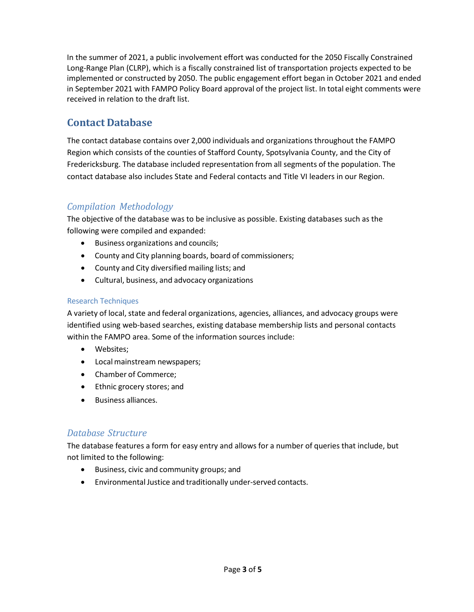In the summer of 2021, a public involvement effort was conducted for the 2050 Fiscally Constrained Long-Range Plan (CLRP), which is a fiscally constrained list of transportation projects expected to be implemented or constructed by 2050. The public engagement effort began in October 2021 and ended in September 2021 with FAMPO Policy Board approval of the project list. In total eight comments were received in relation to the draft list.

#### **Contact Database**

The contact database contains over 2,000 individuals and organizations throughout the FAMPO Region which consists of the counties of Stafford County, Spotsylvania County, and the City of Fredericksburg. The database included representation from all segments of the population. The contact database also includes State and Federal contacts and Title VI leaders in our Region.

#### *Compilation Methodology*

The objective of the database was to be inclusive as possible. Existing databases such as the following were compiled and expanded:

- Business organizations and councils;
- County and City planning boards, board of commissioners;
- County and City diversified mailing lists; and
- Cultural, business, and advocacy organizations

#### Research Techniques

A variety of local, state and federal organizations, agencies, alliances, and advocacy groups were identified using web-based searches, existing database membership lists and personal contacts within the FAMPO area. Some of the information sources include:

- Websites;
- Localmainstream newspapers;
- Chamber of Commerce;
- Ethnic grocery stores; and
- Business alliances.

#### *Database Structure*

The database features a form for easy entry and allows for a number of queries that include, but not limited to the following:

- Business, civic and community groups; and
- Environmental Justice and traditionally under-served contacts.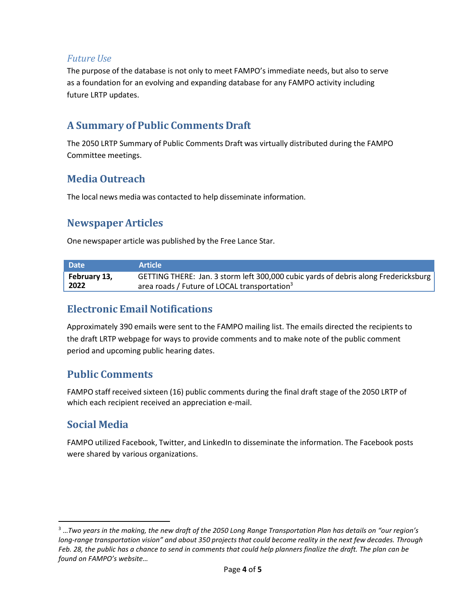#### *Future Use*

The purpose of the database is not only to meet FAMPO's immediate needs, but also to serve as a foundation for an evolving and expanding database for any FAMPO activity including future LRTP updates.

#### **A Summary of Public Comments Draft**

The 2050 LRTP Summary of Public Comments Draft was virtually distributed during the FAMPO Committee meetings.

# **Media Outreach**

The local news media was contacted to help disseminate information.

### **Newspaper Articles**

One newspaper article was published by the Free Lance Star.

| <b>Date</b>  | <b>Article</b>                                                                      |
|--------------|-------------------------------------------------------------------------------------|
| February 13, | GETTING THERE: Jan. 3 storm left 300,000 cubic yards of debris along Fredericksburg |
| 2022         | area roads / Future of LOCAL transportation <sup>3</sup>                            |

#### **Electronic Email Notifications**

Approximately 390 emails were sent to the FAMPO mailing list. The emails directed the recipients to the draft LRTP webpage for ways to provide comments and to make note of the public comment period and upcoming public hearing dates.

# **Public Comments**

FAMPO staff received sixteen (16) public comments during the final draft stage of the 2050 LRTP of which each recipient received an appreciation e-mail.

# **Social Media**

FAMPO utilized Facebook, Twitter, and LinkedIn to disseminate the information. The Facebook posts were shared by various organizations.

<sup>3</sup> …*Two years in the making, the new draft of the 2050 Long Range Transportation Plan has details on "our region's*  long-range transportation vision" and about 350 projects that could become reality in the next few decades. Through *Feb. 28, the public has a chance to send in comments that could help planners finalize the draft. The plan can be found on FAMPO's website…*